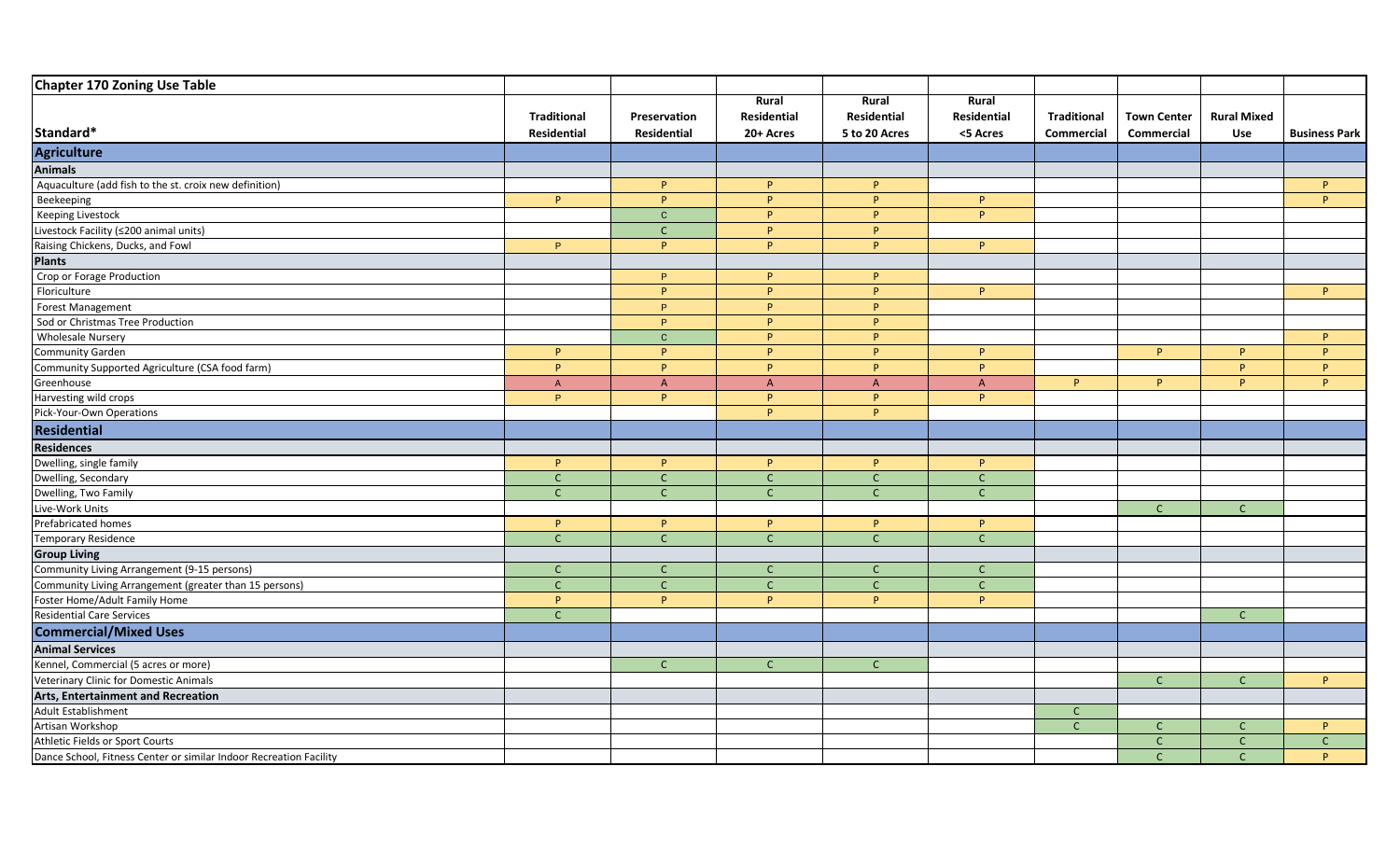| Chapter 170 Zoning Use Table                                       |                    |                |                |               |              |                    |                    |                    |                      |
|--------------------------------------------------------------------|--------------------|----------------|----------------|---------------|--------------|--------------------|--------------------|--------------------|----------------------|
|                                                                    |                    |                | Rural          | Rural         | Rural        |                    |                    |                    |                      |
|                                                                    | <b>Traditional</b> | Preservation   | Residential    | Residential   | Residential  | <b>Traditional</b> | <b>Town Center</b> | <b>Rural Mixed</b> |                      |
| Standard*                                                          | Residential        | Residential    | 20+ Acres      | 5 to 20 Acres | <5 Acres     | Commercial         | Commercial         | Use                | <b>Business Park</b> |
| Agriculture                                                        |                    |                |                |               |              |                    |                    |                    |                      |
| <b>Animals</b>                                                     |                    |                |                |               |              |                    |                    |                    |                      |
| Aquaculture (add fish to the st. croix new definition)             |                    | P              | P              | P.            |              |                    |                    |                    | P                    |
| Beekeeping                                                         | P.                 | P              | P              | P.            | P.           |                    |                    |                    | P.                   |
| <b>Keeping Livestock</b>                                           |                    | $\mathbf C$    | P              | <b>P</b>      | P.           |                    |                    |                    |                      |
| Livestock Facility (≤200 animal units)                             |                    | $\mathsf{C}$   | P              | P             |              |                    |                    |                    |                      |
| Raising Chickens, Ducks, and Fowl                                  | P.                 | p              | <b>P</b>       | P.            | P.           |                    |                    |                    |                      |
| <b>Plants</b>                                                      |                    |                |                |               |              |                    |                    |                    |                      |
| Crop or Forage Production                                          |                    | P              | P              | P             |              |                    |                    |                    |                      |
| Floriculture                                                       |                    | P              | P              | P.            | P.           |                    |                    |                    | P.                   |
| Forest Management                                                  |                    | P              | P              | P.            |              |                    |                    |                    |                      |
| Sod or Christmas Tree Production                                   |                    | P              | <b>P</b>       | <b>p</b>      |              |                    |                    |                    |                      |
| <b>Wholesale Nursery</b>                                           |                    | $\mathbf{C}$   | P              | P.            |              |                    |                    |                    | P.                   |
| Community Garden                                                   | P                  | P              | P              | P.            | P.           |                    | P.                 | P.                 | P.                   |
| Community Supported Agriculture (CSA food farm)                    | P                  | <b>p</b>       | <b>p</b>       | <b>P</b>      | P.           |                    |                    | <b>D</b>           | P.                   |
| Greenhouse                                                         | $\overline{A}$     | $\overline{A}$ | $\overline{A}$ | $\mathsf{A}$  | A            | P                  | P                  | P.                 | P.                   |
| Harvesting wild crops                                              | P.                 | P              | P.             | P.            | P.           |                    |                    |                    |                      |
| Pick-Your-Own Operations                                           |                    |                | <b>P</b>       | P.            |              |                    |                    |                    |                      |
| Residential                                                        |                    |                |                |               |              |                    |                    |                    |                      |
| <b>Residences</b>                                                  |                    |                |                |               |              |                    |                    |                    |                      |
| Dwelling, single family                                            | P                  | P.             | P.             | P.            | P.           |                    |                    |                    |                      |
| Dwelling, Secondary                                                | $\mathsf{C}$       | $\mathsf{C}$   | $\mathsf{C}$   | $\mathsf{C}$  | $\mathsf{C}$ |                    |                    |                    |                      |
| Dwelling, Two Family                                               | $\mathsf{C}$       | $\mathsf{C}$   | $\mathsf{C}$   | $\mathsf{C}$  | $\mathsf{C}$ |                    |                    |                    |                      |
| Live-Work Units                                                    |                    |                |                |               |              |                    | $\mathsf{C}$       | $\mathsf{C}$       |                      |
| Prefabricated homes                                                | P.                 | P              | P              | P.            | P.           |                    |                    |                    |                      |
| <b>Temporary Residence</b>                                         | $\mathsf{C}$       | $\mathsf{C}$   | $\mathsf{C}$   | $\mathsf{C}$  | $\mathsf C$  |                    |                    |                    |                      |
| <b>Group Living</b>                                                |                    |                |                |               |              |                    |                    |                    |                      |
| Community Living Arrangement (9-15 persons)                        | $\mathsf{C}$       | $\mathsf{C}$   | $\mathsf{C}$   | $\mathsf{C}$  | $\mathsf{C}$ |                    |                    |                    |                      |
| Community Living Arrangement (greater than 15 persons)             | $\mathsf{C}$       | $\mathsf{C}$   | $\mathsf C$    | $\mathsf{C}$  | $\mathsf C$  |                    |                    |                    |                      |
| Foster Home/Adult Family Home                                      | P.                 | P              | <b>p</b>       | <b>p</b>      | P.           |                    |                    |                    |                      |
| <b>Residential Care Services</b>                                   | $\mathsf{C}$       |                |                |               |              |                    |                    | $\mathsf{C}$       |                      |
| <b>Commercial/Mixed Uses</b>                                       |                    |                |                |               |              |                    |                    |                    |                      |
| <b>Animal Services</b>                                             |                    |                |                |               |              |                    |                    |                    |                      |
| Kennel, Commercial (5 acres or more)                               |                    | $\mathsf{C}$   | $\mathsf{C}$   | $\mathsf{C}$  |              |                    |                    |                    |                      |
| Veterinary Clinic for Domestic Animals                             |                    |                |                |               |              |                    | $\mathsf C$        | $\mathsf{C}$       | P.                   |
| Arts, Entertainment and Recreation                                 |                    |                |                |               |              |                    |                    |                    |                      |
| <b>Adult Establishment</b>                                         |                    |                |                |               |              | $\mathsf{C}$       |                    |                    |                      |
| Artisan Workshop                                                   |                    |                |                |               |              | $\mathsf{C}$       | $\mathsf{C}$       | $\mathsf{C}$       | P.                   |
| Athletic Fields or Sport Courts                                    |                    |                |                |               |              |                    | $\mathsf{C}$       |                    | $\mathsf{C}$         |
| Dance School, Fitness Center or similar Indoor Recreation Facility |                    |                |                |               |              |                    | $\mathsf{C}$       | $\mathsf{C}$       | P.                   |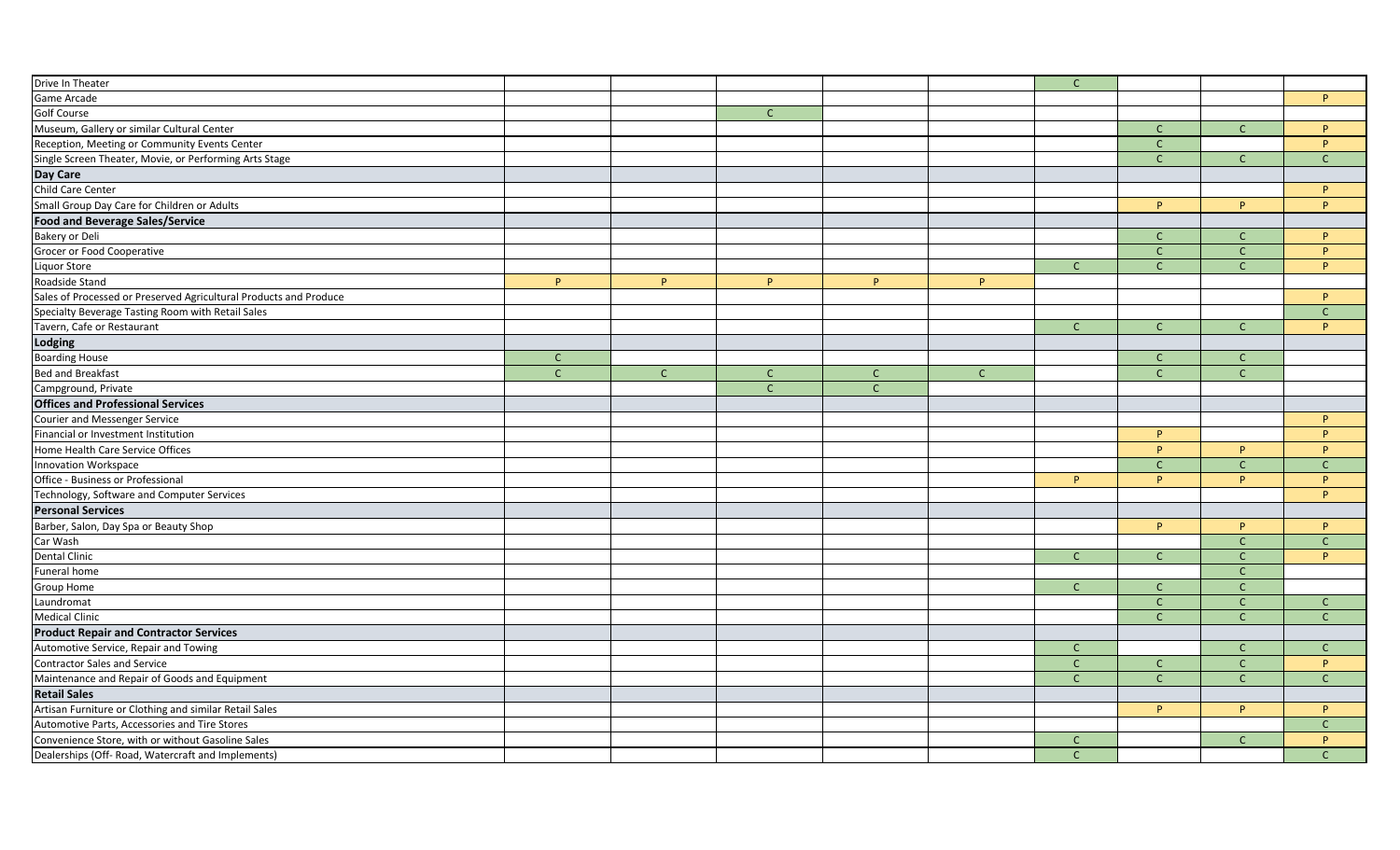| Drive In Theater                                                  |              |              |              |              |              | $\mathsf{C}$  |              |              |              |
|-------------------------------------------------------------------|--------------|--------------|--------------|--------------|--------------|---------------|--------------|--------------|--------------|
| Game Arcade                                                       |              |              |              |              |              |               |              |              | P            |
| <b>Golf Course</b>                                                |              |              | $\mathsf{C}$ |              |              |               |              |              |              |
| Museum, Gallery or similar Cultural Center                        |              |              |              |              |              |               | $\mathsf{C}$ | $\mathsf{C}$ | P.           |
| Reception, Meeting or Community Events Center                     |              |              |              |              |              |               | $\mathsf{C}$ |              | P.           |
| Single Screen Theater, Movie, or Performing Arts Stage            |              |              |              |              |              |               | $\mathsf{C}$ | $\mathsf{C}$ | $\mathsf{C}$ |
| Day Care                                                          |              |              |              |              |              |               |              |              |              |
| Child Care Center                                                 |              |              |              |              |              |               |              |              | P.           |
| Small Group Day Care for Children or Adults                       |              |              |              |              |              |               | P            | P.           | P.           |
| <b>Food and Beverage Sales/Service</b>                            |              |              |              |              |              |               |              |              |              |
| <b>Bakery or Deli</b>                                             |              |              |              |              |              |               | $\mathsf{C}$ | $\mathsf{C}$ | P.           |
| Grocer or Food Cooperative                                        |              |              |              |              |              |               | $\mathsf{C}$ | $\mathsf{C}$ | P.           |
| Liquor Store                                                      |              |              |              |              |              | $\mathsf{C}$  | $\mathsf{C}$ | $\mathsf{C}$ | P.           |
| Roadside Stand                                                    | P            | P            | P            | P.           | P            |               |              |              |              |
| Sales of Processed or Preserved Agricultural Products and Produce |              |              |              |              |              |               |              |              | P.           |
| Specialty Beverage Tasting Room with Retail Sales                 |              |              |              |              |              |               |              |              | $\mathsf{C}$ |
| Tavern, Cafe or Restaurant                                        |              |              |              |              |              | $\mathsf{C}$  | $\mathsf{C}$ | $\mathsf{C}$ | P            |
| Lodging                                                           |              |              |              |              |              |               |              |              |              |
| <b>Boarding House</b>                                             | $\mathsf{C}$ |              |              |              |              |               | $\mathsf{C}$ | $\mathsf{C}$ |              |
| <b>Bed and Breakfast</b>                                          | $\mathsf{C}$ | $\mathsf{C}$ | $\mathsf{C}$ | $\mathsf{C}$ | $\mathsf{C}$ |               | $\mathsf{C}$ | $\mathsf{C}$ |              |
| Campground, Private                                               |              |              | $\mathsf{C}$ | $\mathsf{C}$ |              |               |              |              |              |
| <b>Offices and Professional Services</b>                          |              |              |              |              |              |               |              |              |              |
| <b>Courier and Messenger Service</b>                              |              |              |              |              |              |               |              |              | P            |
| Financial or Investment Institution                               |              |              |              |              |              |               | P.           |              | P.           |
| Home Health Care Service Offices                                  |              |              |              |              |              |               | P.           | P.           | P.           |
| Innovation Workspace                                              |              |              |              |              |              |               | $\mathsf{C}$ | $\mathsf{C}$ | $\mathsf{C}$ |
| Office - Business or Professional                                 |              |              |              |              |              | P.            | <b>P</b>     | P.           | P.           |
| Technology, Software and Computer Services                        |              |              |              |              |              |               |              |              | P.           |
| <b>Personal Services</b>                                          |              |              |              |              |              |               |              |              |              |
| Barber, Salon, Day Spa or Beauty Shop                             |              |              |              |              |              |               | P            | P.           | P.           |
| Car Wash                                                          |              |              |              |              |              |               |              | $\mathsf{C}$ | $\mathsf{C}$ |
| <b>Dental Clinic</b>                                              |              |              |              |              |              | $\mathsf C$   | $\mathsf{C}$ | $\mathsf{C}$ | P.           |
| Funeral home                                                      |              |              |              |              |              |               |              | $\mathsf{C}$ |              |
| Group Home                                                        |              |              |              |              |              | $\mathsf{C}$  | $\mathsf{C}$ | $\mathsf{C}$ |              |
| Laundromat                                                        |              |              |              |              |              |               | $\mathsf C$  | $\mathsf{C}$ | $\mathsf{C}$ |
| <b>Medical Clinic</b>                                             |              |              |              |              |              |               | $\mathsf{C}$ | $\mathsf{C}$ | $\mathsf{C}$ |
| <b>Product Repair and Contractor Services</b>                     |              |              |              |              |              |               |              |              |              |
| Automotive Service, Repair and Towing                             |              |              |              |              |              | $\mathsf{C}$  |              | $\mathsf{C}$ | $\mathsf{C}$ |
| <b>Contractor Sales and Service</b>                               |              |              |              |              |              | $\mathsf{C}$  | $\mathsf{C}$ | $\mathsf{C}$ | P            |
| Maintenance and Repair of Goods and Equipment                     |              |              |              |              |              | $\mathsf{C}$  | $\mathsf{C}$ | $\mathsf{C}$ | $\mathsf{C}$ |
| <b>Retail Sales</b>                                               |              |              |              |              |              |               |              |              |              |
| Artisan Furniture or Clothing and similar Retail Sales            |              |              |              |              |              |               | <b>P</b>     | P.           | P.           |
| Automotive Parts, Accessories and Tire Stores                     |              |              |              |              |              |               |              |              | $\mathsf{C}$ |
| Convenience Store, with or without Gasoline Sales                 |              |              |              |              |              | $\mathsf{C}$  |              | $\mathsf{C}$ | P.           |
| Dealerships (Off- Road, Watercraft and Implements)                |              |              |              |              |              | $\mathcal{C}$ |              |              | $\Gamma$     |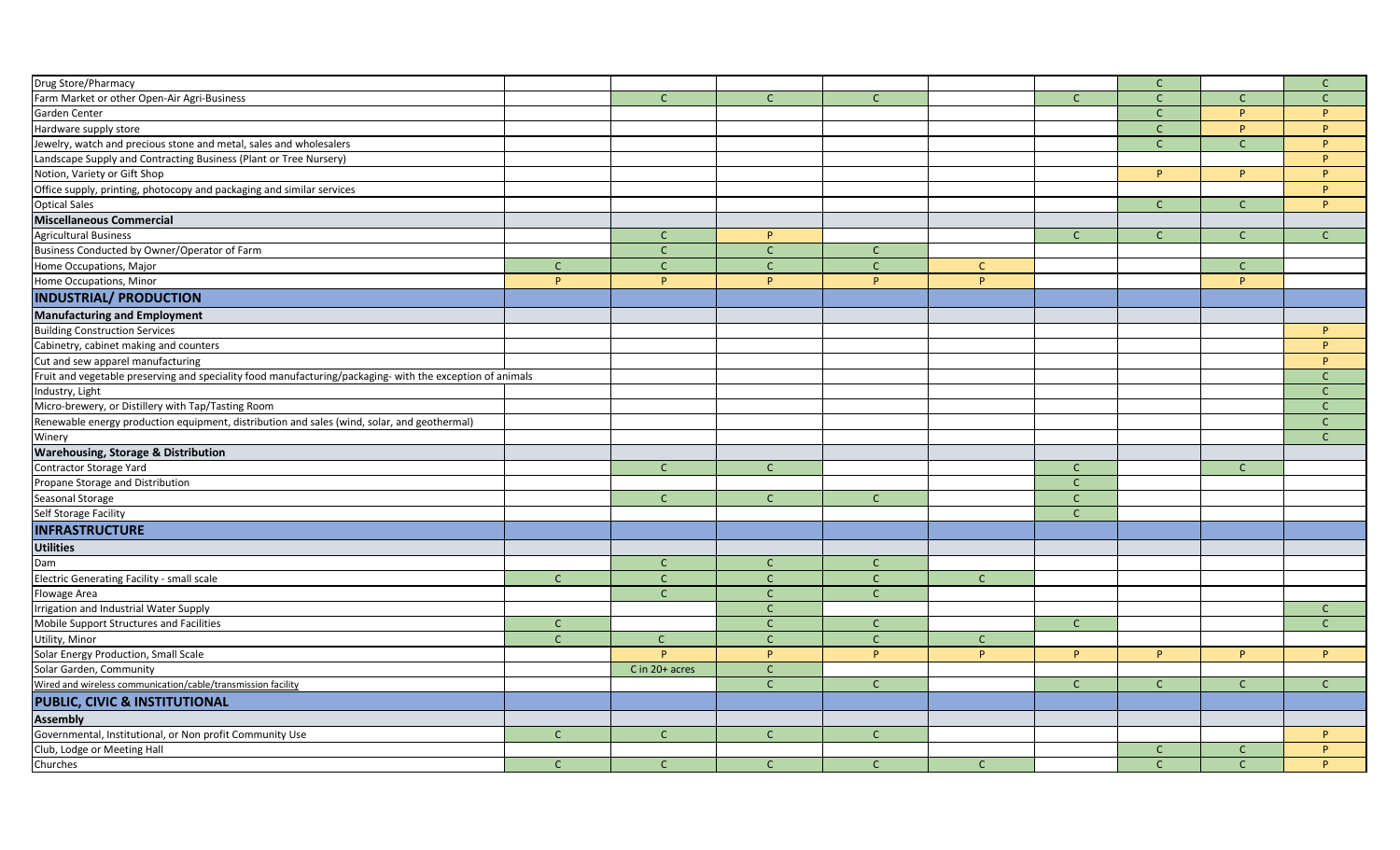| Drug Store/Pharmacy                                                                                       |              |                |              |              |              |              | $\mathsf C$  |              | $\mathsf{C}$  |
|-----------------------------------------------------------------------------------------------------------|--------------|----------------|--------------|--------------|--------------|--------------|--------------|--------------|---------------|
| Farm Market or other Open-Air Agri-Business                                                               |              | $\mathsf{C}$   | $\mathsf{C}$ | $\mathsf{C}$ |              | $\mathsf{C}$ | $\mathsf{C}$ | $\mathsf{C}$ | $\mathsf{C}$  |
| Garden Center                                                                                             |              |                |              |              |              |              | $\mathsf{C}$ | P.           | P             |
|                                                                                                           |              |                |              |              |              |              | $\mathsf{C}$ | D            | P             |
| Hardware supply store                                                                                     |              |                |              |              |              |              | $\mathsf{C}$ | $\mathsf{C}$ | P             |
| Jewelry, watch and precious stone and metal, sales and wholesalers                                        |              |                |              |              |              |              |              |              | P.            |
| Landscape Supply and Contracting Business (Plant or Tree Nursery)                                         |              |                |              |              |              |              | P.           | P.           | P.            |
| Notion, Variety or Gift Shop                                                                              |              |                |              |              |              |              |              |              |               |
| Office supply, printing, photocopy and packaging and similar services                                     |              |                |              |              |              |              |              |              | P.            |
| <b>Optical Sales</b>                                                                                      |              |                |              |              |              |              | $\mathsf{C}$ | $\mathsf{C}$ | P             |
| Miscellaneous Commercial                                                                                  |              |                |              |              |              |              |              |              |               |
| <b>Agricultural Business</b>                                                                              |              | C              | P            |              |              | $\mathsf{C}$ | $\mathsf{C}$ | $\mathsf{C}$ | $\mathsf{C}$  |
| Business Conducted by Owner/Operator of Farm                                                              |              | $\mathsf{C}$   | $\mathsf{C}$ | $\mathsf{C}$ |              |              |              |              |               |
| Home Occupations, Major                                                                                   | $\mathsf{C}$ | $\mathsf{C}$   | $\mathsf{C}$ | $\mathsf{C}$ | $\mathsf{C}$ |              |              | $\mathsf{C}$ |               |
| Home Occupations, Minor                                                                                   | P            | P              | P            | P            | P.           |              |              | P.           |               |
| <b>INDUSTRIAL/ PRODUCTION</b>                                                                             |              |                |              |              |              |              |              |              |               |
| <b>Manufacturing and Employment</b>                                                                       |              |                |              |              |              |              |              |              |               |
| <b>Building Construction Services</b>                                                                     |              |                |              |              |              |              |              |              | P             |
| Cabinetry, cabinet making and counters                                                                    |              |                |              |              |              |              |              |              | P.            |
| Cut and sew apparel manufacturing                                                                         |              |                |              |              |              |              |              |              | P             |
| Fruit and vegetable preserving and speciality food manufacturing/packaging- with the exception of animals |              |                |              |              |              |              |              |              | $\mathsf{C}$  |
| Industry, Light                                                                                           |              |                |              |              |              |              |              |              | C             |
| Micro-brewery, or Distillery with Tap/Tasting Room                                                        |              |                |              |              |              |              |              |              | $\mathsf{C}$  |
| Renewable energy production equipment, distribution and sales (wind, solar, and geothermal)               |              |                |              |              |              |              |              |              | C             |
| Winery                                                                                                    |              |                |              |              |              |              |              |              | $\mathcal{C}$ |
| <b>Warehousing, Storage &amp; Distribution</b>                                                            |              |                |              |              |              |              |              |              |               |
| Contractor Storage Yard                                                                                   |              | $\mathsf{C}$   | $\mathsf{C}$ |              |              | $\mathsf{C}$ |              | $\mathsf{C}$ |               |
| Propane Storage and Distribution                                                                          |              |                |              |              |              | $\mathsf{C}$ |              |              |               |
| Seasonal Storage                                                                                          |              | $\mathsf{C}$   | $\mathsf{C}$ | $\mathsf{C}$ |              | $\mathsf{C}$ |              |              |               |
| Self Storage Facility                                                                                     |              |                |              |              |              | $\mathsf{C}$ |              |              |               |
| <b>INFRASTRUCTURE</b>                                                                                     |              |                |              |              |              |              |              |              |               |
| <b>Utilities</b>                                                                                          |              |                |              |              |              |              |              |              |               |
| Dam                                                                                                       |              | $\mathsf{C}$   | $\mathsf{C}$ | $\mathsf{C}$ |              |              |              |              |               |
| Electric Generating Facility - small scale                                                                | $\mathsf{C}$ | $\mathsf{C}$   | $\mathsf{C}$ | $\mathsf{C}$ | $\mathsf{C}$ |              |              |              |               |
| Flowage Area                                                                                              |              | $\mathsf{C}$   | $\mathsf{C}$ | $\mathsf{C}$ |              |              |              |              |               |
| Irrigation and Industrial Water Supply                                                                    |              |                | $\mathsf{C}$ |              |              |              |              |              | $\mathsf{C}$  |
| Mobile Support Structures and Facilities                                                                  | $\mathsf C$  |                | $\mathsf{C}$ | $\mathsf{C}$ |              | $\mathsf{C}$ |              |              | $\mathsf{C}$  |
| Utility, Minor                                                                                            | $\mathsf{C}$ | $\mathsf{C}$   | $\mathsf{C}$ | $\mathsf{C}$ | $\mathsf{C}$ |              |              |              |               |
| Solar Energy Production, Small Scale                                                                      |              | P.             | P            | P.           | P.           | P            | Þ            | P.           | P.            |
| Solar Garden, Community                                                                                   |              | C in 20+ acres | $\mathsf{C}$ |              |              |              |              |              |               |
| Wired and wireless communication/cable/transmission facility                                              |              |                | $\mathsf{C}$ | $\mathsf{C}$ |              | $\mathsf{C}$ | $\mathsf{C}$ | $\mathsf{C}$ | $\mathsf{C}$  |
| <b>PUBLIC, CIVIC &amp; INSTITUTIONAL</b>                                                                  |              |                |              |              |              |              |              |              |               |
| <b>Assembly</b>                                                                                           |              |                |              |              |              |              |              |              |               |
| Governmental, Institutional, or Non profit Community Use                                                  | $\mathsf{C}$ | $\mathsf{C}$   | $\mathsf{C}$ | $\mathsf{C}$ |              |              |              |              | P             |
| Club, Lodge or Meeting Hall                                                                               |              |                |              |              |              |              | $\mathsf{C}$ |              | P             |
| Churches                                                                                                  | $\mathsf{C}$ | $\mathsf{C}$   | $\mathsf{C}$ | $\mathsf{C}$ | $\mathsf{C}$ |              | $\mathsf{C}$ | $\mathsf{C}$ | <b>P</b>      |
|                                                                                                           |              |                |              |              |              |              |              |              |               |